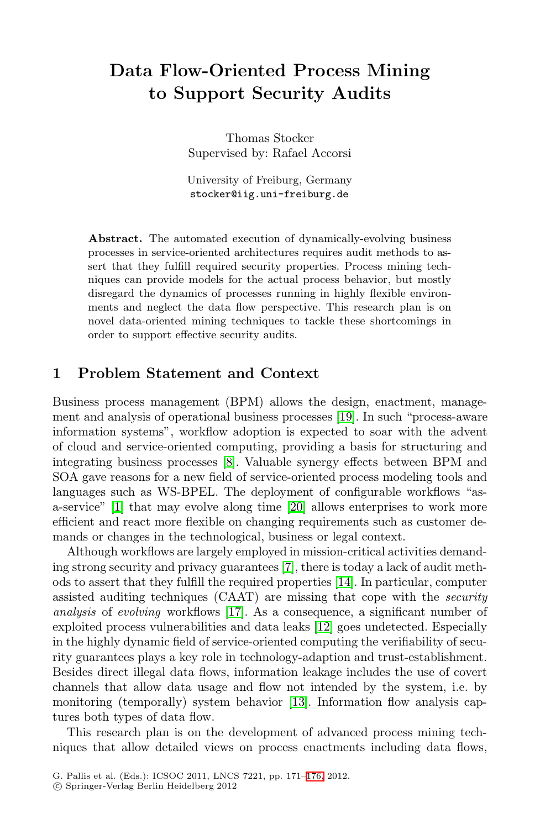# **Data Flow-Oriented Process Mining to Support Security Audits**

Thomas Stocker Supervised by: Rafael Accorsi

University of Freiburg, Germany stocker@iig.uni-freiburg.de

**Abstract.** The automated execution of dynamically-evolving business processes in service-oriented architectures requires audit methods to assert that they fulfill required security properties. Process mining techniques can provide models for the actual process behavior, but mostly disregard the dynamics of processes running in highly flexible environments and neglect the data [flow](#page-5-0) perspective. This research plan is on novel data-oriented mining techniques to tackle these shortcomings in order [to](#page-4-0) support effective security audits.

## **1 Problem Statement and Context**

Business process mana[gem](#page-5-1)ent (BPM) allows the design, enactment, management and analysis of operational business processes [19]. In such "process-aware information systems", workflow adoption is expected to soar with the advent of cloud and service-or[ien](#page-4-1)ted computing, providing a basis for structuring and integrating business processes [8[\]. V](#page-4-2)aluable synergy effects between BPM and SOA gave reasons for a new field of service-oriented process modeling tools and languages su[ch](#page-5-2) as WS-BPEL. The deployment of configurable workflows "asa-service" [1] that may evol[ve a](#page-4-3)long time [20] allows enterprises to work more efficient and react more flexible on changing requirements such as customer demands or changes in the technological, business or legal context.

Although workflows are largely employed in mission-critical activities demanding strong security and privacy guarantees [7], there is today a lack of audit methods to assert that they fu[lfill](#page-4-4) the required properties [14]. In particular, computer assisted auditing techniques (CAAT) are missing that cope with the *security analysis* of *evolving* workflows [17]. As a consequence, a significant number of exploited process vulnerabilities and data leaks [12] goes undetected. Especially in the highly dynamic field of service-oriented computing the verifiability of security guarantees plays a key [role](#page-5-3) in technology-adaption and trust-establishment. Besides direct illegal data flows, information leakage includes the use of covert channels that allow data usage and flow not intended by the system, i.e. by monitoring (temporally) system behavior [13]. Information flow analysis captures both types of data flow.

This research plan is on the development of advanced process mining techniques that allow detailed views on process enactments including data flows,

G. Pallis et al. (Eds.): ICSOC 2011, LNCS 7221, pp. 171–176, 2012.

<sup>-</sup>c Springer-Verlag Berlin Heidelberg 2012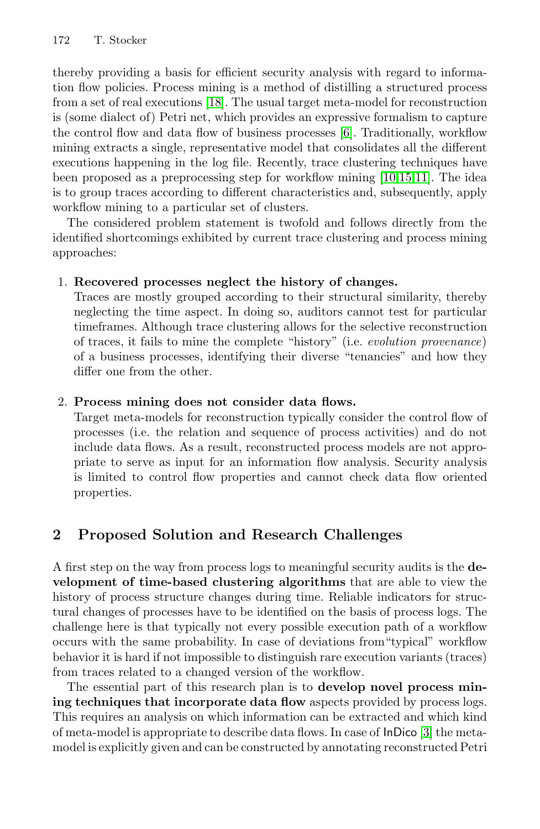### 172 T. Stocker

thereby providing a basis for efficient se[curi](#page-4-5)[ty](#page-4-6) [ana](#page-4-7)lysis with regard to information flow policies. Process mining is a method of distilling a structured process from a set of real executions [18]. The usual target meta-model for reconstruction is (some dialect of) Petri net, which provides an expressive formalism to capture the control flow and data flow of business processes [6]. Traditionally, workflow mining extracts a single, representative model that consolidates all the different executions happening in the log file. Recently, trace clustering techniques have been proposed as a preprocessing step for workflow mining [10,15,11]. The idea is to group traces according to different characteristics and, subsequently, apply workflow mining to a particular set of clusters.

The considered problem statement is twofold and follows directly from the identified shortcomings exhibited by current trace clustering and process mining approaches:

#### <span id="page-1-0"></span>1. **Recovered processes neglect the history of changes.**

Traces are mostly grouped according to their structural similarity, thereby neglecting the time aspect. In doing so, auditors cannot test for particular timeframes. Although trace clustering allows for the selective reconstruction of traces, it fails to mine the complete "history" (i.e. *evolution provenance*) of a business processes, identifying their diverse "tenancies" and how they differ one from the other.

## 2. **Process mining does not consider data flows.**

Target meta-models for reconstruction typically consider the control flow of processes (i.e. the relation and sequence of process activities) and do not include data flows. As a result, reconstructed process models are not appropriate to serve as input for an information flow analysis. Security analysis is limited to control flow properties and cannot check data flow oriented properties.

## **2 Proposed Solution and Research Challenges**

A first step on the way from process logs to meaningful security audits is the **development of time-based clustering algorithms** that are able to view the history of process structure changes during time. Reliable indicators for structural changes of processes have to be identified o[n](#page-4-8) the basis of process logs. The challenge here is that typically not every possible execution path of a workflow occurs with the same probability. In case of deviations from"typical" workflow behavior it is hard if not impossible to distinguish rare execution variants (traces) from traces related to a changed version of the workflow.

The essential part of this research plan is to **develop novel process mining techniques that incorporate data flow** aspects provided by process logs. This requires an analysis on which information can be extracted and which kind of meta-model is appropriate to describe data flows. In case of InDico [3] the metamodel is explicitly given and can be constructed by annotating reconstructed Petri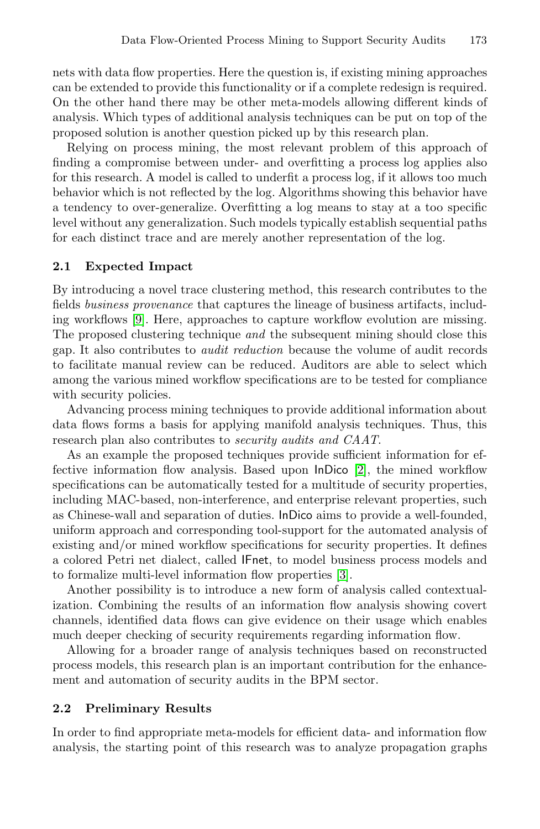nets with data flow properties. Here the question is, if existing mining approaches can be extended to provide this functionality or if a complete redesign is required. On the other hand there may be other meta-models allowing different kinds of analysis. Which types of additional analysis techniques can be put on top of the proposed solution is another question picked up by this research plan.

Relying on process mining, the most relevant problem of this approach of finding a compromise between under- and overfitting a process log applies also for this research. A model is called to underfit a process log, if it allows too much behavior which is not reflected by the log. Algorithms showing this behavior have a tendency to over-generalize. Overfitting a log means to stay at a too specific level without any generalization. Such models typically establish sequential paths for each distinct trace and are merely another representation of the log.

### **2.1 Expected Impact**

By introducing a novel trace clustering method, this research contributes to the fields *business provenance* that captures the lineage of business artifacts, including workflows [9]. Here, approaches to capture workflow evolution are missing. The proposed clustering technique *and* the subsequent mining should close this gap. It also contributes to *audit red[uc](#page-4-9)tion* because the volume of audit records to facilitate manual review can be reduced. Auditors are able to select which among the various mined workflow specifications are to be tested for compliance with security policies.

Advancing process mining techniques to provide additional information about data flows forms a basis for applying manifold analysis techniques. Thus, this research plan also contributes to *security audits and CAAT*.

As an example the proposed t[ech](#page-4-8)niques provide sufficient information for effective information flow analysis. Based upon InDico [2], the mined workflow specifications can be automatically tested for a multitude of security properties, including MAC-based, non-interference, and enterprise relevant properties, such as Chinese-wall and separation of duties. InDico aims to provide a well-founded, uniform approach and corresponding tool-support for the automated analysis of existing and/or mined workflow specifications for security properties. It defines a colored Petri net dialect, called IFnet, to model business process models and to formalize multi-level information flow properties [3].

Another possibility is to introduce a new form of analysis called contextualization. Combining the results of an information flow analysis showing covert channels, identified data flows can give evidence on their usage which enables much deeper checking of security requirements regarding information flow.

Allowing for a broader range of analysis techniques based on reconstructed process models, this research plan is an important contribution for the enhancement and automation of security audits in the BPM sector.

#### **2.2 Preliminary Results**

In order to find appropriate meta-models for efficient data- and information flow analysis, the starting point of this research was to analyze propagation graphs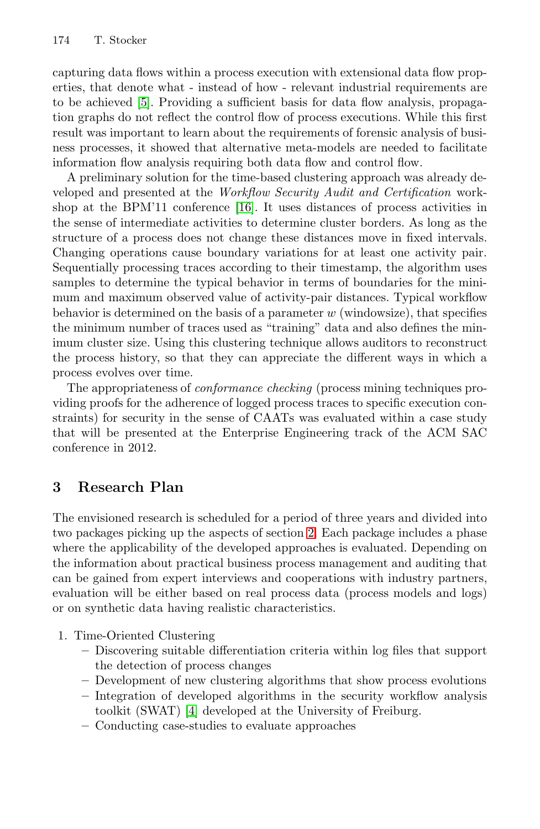#### 174 T. Stocker

capturing data flows within a process execution with extensional data flow properties, that de[note](#page-5-4) what - instead of how - relevant industrial requirements are to be achieved [5]. Providing a sufficient basis for data flow analysis, propagation graphs do not reflect the control flow of process executions. While this first result was important to learn about the requirements of forensic analysis of business processes, it showed that alternative meta-models are needed to facilitate information flow analysis requiring both data flow and control flow.

A preliminary solution for the time-based clustering approach was already developed and presented at the *Workflow Security Audit and Certification* workshop at the BPM'11 conference [16]. It uses distances of process activities in the sense of intermediate activities to determine cluster borders. As long as the structure of a process does not change these distances move in fixed intervals. Changing operations cause boundary variations for at least one activity pair. Sequentially processing traces according to their timestamp, the algorithm uses samples to determine the typical behavior in terms of boundaries for the minimum and maximum observed value of activity-pair distances. Typical workflow behavior is determined on the basis of a parameter *w* (windowsize), that specifies the minimum number of traces used as "training" data and also defines the minimum cluster size. Using this clustering technique allows auditors to reconstruct the process history, so that they can appreciate the different ways in which a process evolves over time.

The appropriateness of *conformance checking* (process mining techniques providing proofs for the adherence of logged process traces to specific execution constraints) for security in the [se](#page-1-0)nse of CAATs was evaluated within a case study that will be presented at the Enterprise Engineering track of the ACM SAC conference in 2012.

# **3 Research Plan**

The envisioned research is scheduled for a period of three years and divided into two packages picking up the aspects of section 2. Each package includes a phase where the applicability of the developed approaches is evaluated. Depending on the information about practical business process management and auditing that can be gained from expert interviews and cooperations with industry partners, evalu[ati](#page-4-10)on will be either based on real process data (process models and logs) or on synthetic data having realistic characteristics.

- 1. Time-Oriented Clustering
	- **–** Discovering suitable differentiation criteria within log files that support the detection of process changes
	- **–** Development of new clustering algorithms that show process evolutions
	- **–** Integration of developed algorithms in the security workflow analysis toolkit (SWAT) [4] developed at the University of Freiburg.
	- **–** Conducting case-studies to evaluate approaches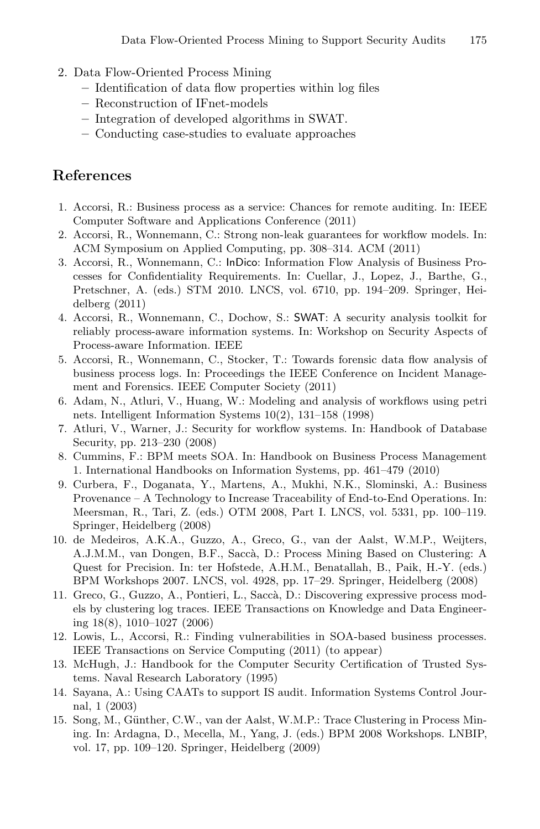- <span id="page-4-9"></span>2. Data Flow-Oriented Process Mining
	- **–** Identification of data flow properties within log files
	- **–** Reconstruction of IFnet-models
	- **–** Integration of developed algorithms in SWAT.
	- **–** Conducting case-studies to evaluate approaches

# <span id="page-4-8"></span>**References**

- <span id="page-4-10"></span>1. Accorsi, R.: Business process as a service: Chances for remote auditing. In: IEEE Computer Software and Applications Conference (2011)
- 2. Accorsi, R., Wonnemann, C.: Strong non-leak guarantees for workflow models. In: ACM Symposium on Applied Computing, pp. 308–314. ACM (2011)
- 3. Accorsi, R., Wonnemann, C.: InDico: Information Flow Analysis of Business Processes for Confidentiality Requirements. In: Cuellar, J., Lopez, J., Barthe, G., Pretschner, A. (eds.) STM 2010. LNCS, vol. 6710, pp. 194–209. Springer, Heidelberg (2011)
- <span id="page-4-1"></span><span id="page-4-0"></span>4. Accorsi, R., Wonnemann, C., Dochow, S.: SWAT: A security analysis toolkit for reliably process-aware information systems. In: Workshop on Security Aspects of Process-aware Information. IEEE
- 5. Accorsi, R., Wonnemann, C., Stocker, T.: Towards forensic data flow analysis of business process logs. In: Proceedings the IEEE Conference on Incident Management and Forensics. IEEE Computer Society (2011)
- 6. Adam, N., Atluri, V., Huang, W.: Modeling and analysis of workflows using petri nets. Intelligent Information Systems 10(2), 131–158 (1998)
- <span id="page-4-5"></span>7. Atluri, V., Warner, J.: Security for workflow systems. In: Handbook of Database Security, pp. 213–230 (2008)
- <span id="page-4-7"></span>8. Cummins, F.: BPM meets SOA. In: Handbook on Business Process Management 1. International Handbooks on Information Systems, pp. 461–479 (2010)
- <span id="page-4-3"></span>9. Curbera, F., Doganata, Y., Martens, A., Mukhi, N.K., Slominski, A.: Business Provenance – A Technology to Increase Traceability of End-to-End Operations. In: Meersman, R., Tari, Z. (eds.) OTM 2008, Part I. LNCS, vol. 5331, pp. 100–119. Springer, Heidelberg (2008)
- <span id="page-4-4"></span>10. de Medeiros, A.K.A., Guzzo, A., Greco, G., van der Aalst, W.M.P., Weijters, A.J.M.M., van Dongen, B.F., Saccà, D.: Process Mining Based on Clustering: A Quest for Precision. In: ter Hofstede, A.H.M., Benatallah, B., Paik, H.-Y. (eds.) BPM Workshops 2007. LNCS, vol. 4928, pp. 17–29. Springer, Heidelberg (2008)
- <span id="page-4-6"></span><span id="page-4-2"></span>11. Greco, G., Guzzo, A., Pontieri, L., Saccà, D.: Discovering expressive process models by clustering log traces. IEEE Transactions on Knowledge and Data Engineering 18(8), 1010–1027 (2006)
- 12. Lowis, L., Accorsi, R.: Finding vulnerabilities in SOA-based business processes. IEEE Transactions on Service Computing (2011) (to appear)
- 13. McHugh, J.: Handbook for the Computer Security Certification of Trusted Systems. Naval Research Laboratory (1995)
- 14. Sayana, A.: Using CAATs to support IS audit. Information Systems Control Journal, 1 (2003)
- 15. Song, M., Günther, C.W., van der Aalst, W.M.P.: Trace Clustering in Process Mining. In: Ardagna, D., Mecella, M., Yang, J. (eds.) BPM 2008 Workshops. LNBIP, vol. 17, pp. 109–120. Springer, Heidelberg (2009)